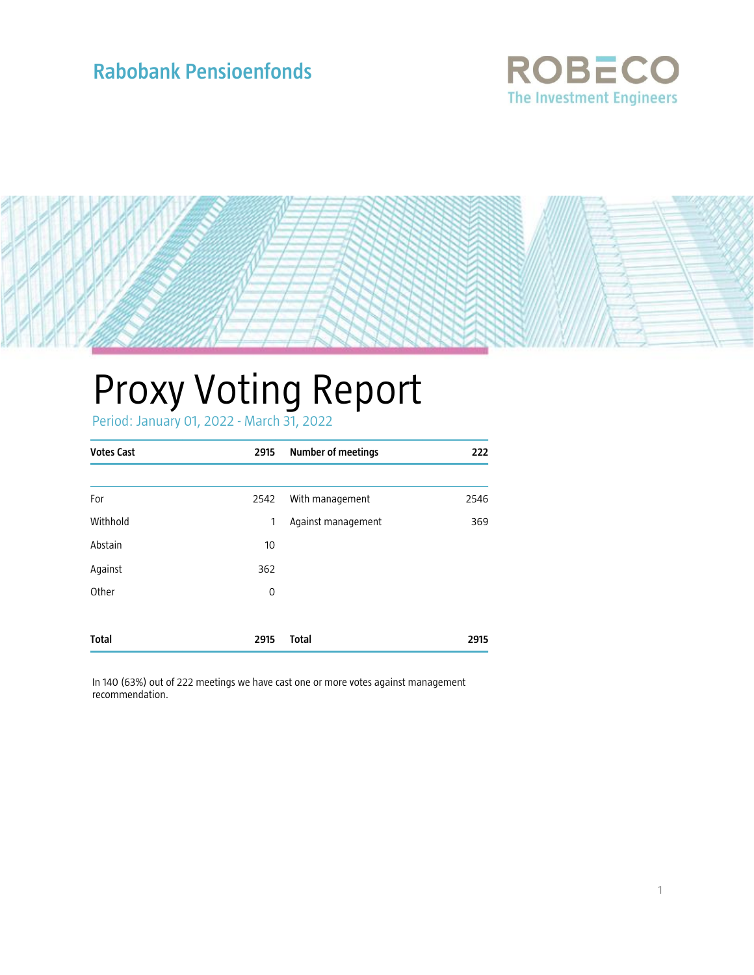# **Rabobank Pensioenfonds**





# Proxy Voting Report

Period: January 01, 2022 - March 31, 2022

| <b>Votes Cast</b> | 2915 | <b>Number of meetings</b> | 222  |
|-------------------|------|---------------------------|------|
|                   |      |                           |      |
| For               | 2542 | With management           | 2546 |
| Withhold          | 1    | Against management        | 369  |
| Abstain           | 10   |                           |      |
| Against           | 362  |                           |      |
| Other             | 0    |                           |      |
|                   |      |                           |      |
| <b>Total</b>      | 2915 | <b>Total</b>              | 2915 |

In 140 (63%) out of 222 meetings we have cast one or more votes against management recommendation.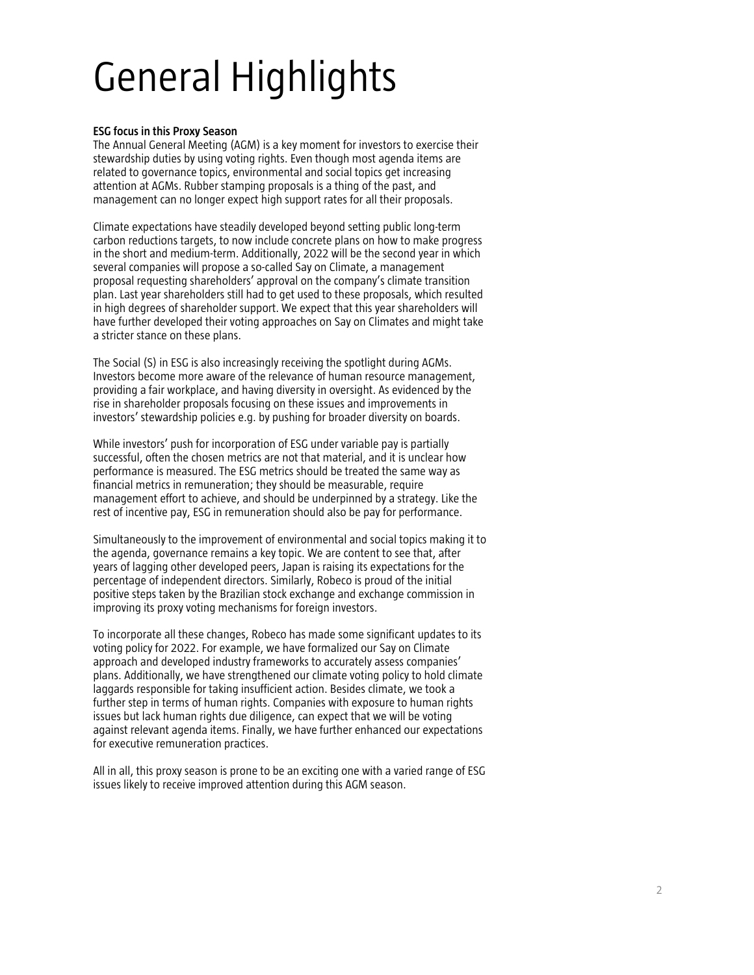# General Highlights

## **ESG focus in this Proxy Season**

The Annual General Meeting (AGM) is a key moment for investors to exercise their stewardship duties by using voting rights. Even though most agenda items are related to governance topics, environmental and social topics get increasing attention at AGMs. Rubber stamping proposals is a thing of the past, and management can no longer expect high support rates for all their proposals.

Climate expectations have steadily developed beyond setting public long-term carbon reductions targets, to now include concrete plans on how to make progress in the short and medium-term. Additionally, 2022 will be the second year in which several companies will propose a so-called Say on Climate, a management proposal requesting shareholders' approval on the company's climate transition plan. Last year shareholders still had to get used to these proposals, which resulted in high degrees of shareholder support. We expect that this year shareholders will have further developed their voting approaches on Say on Climates and might take a stricter stance on these plans.

The Social (S) in ESG is also increasingly receiving the spotlight during AGMs. Investors become more aware of the relevance of human resource management, providing a fair workplace, and having diversity in oversight. As evidenced by the rise in shareholder proposals focusing on these issues and improvements in investors' stewardship policies e.g. by pushing for broader diversity on boards.

While investors' push for incorporation of ESG under variable pay is partially successful, often the chosen metrics are not that material, and it is unclear how performance is measured. The ESG metrics should be treated the same way as financial metrics in remuneration; they should be measurable, require management effort to achieve, and should be underpinned by a strategy. Like the rest of incentive pay, ESG in remuneration should also be pay for performance.

Simultaneously to the improvement of environmental and social topics making it to the agenda, governance remains a key topic. We are content to see that, after years of lagging other developed peers, Japan is raising its expectations for the percentage of independent directors. Similarly, Robeco is proud of the initial positive steps taken by the Brazilian stock exchange and exchange commission in improving its proxy voting mechanisms for foreign investors.

To incorporate all these changes, Robeco has made some significant updates to its voting policy for 2022. For example, we have formalized our Say on Climate approach and developed industry frameworks to accurately assess companies' plans. Additionally, we have strengthened our climate voting policy to hold climate laggards responsible for taking insufficient action. Besides climate, we took a further step in terms of human rights. Companies with exposure to human rights issues but lack human rights due diligence, can expect that we will be voting against relevant agenda items. Finally, we have further enhanced our expectations for executive remuneration practices.

All in all, this proxy season is prone to be an exciting one with a varied range of ESG issues likely to receive improved attention during this AGM season.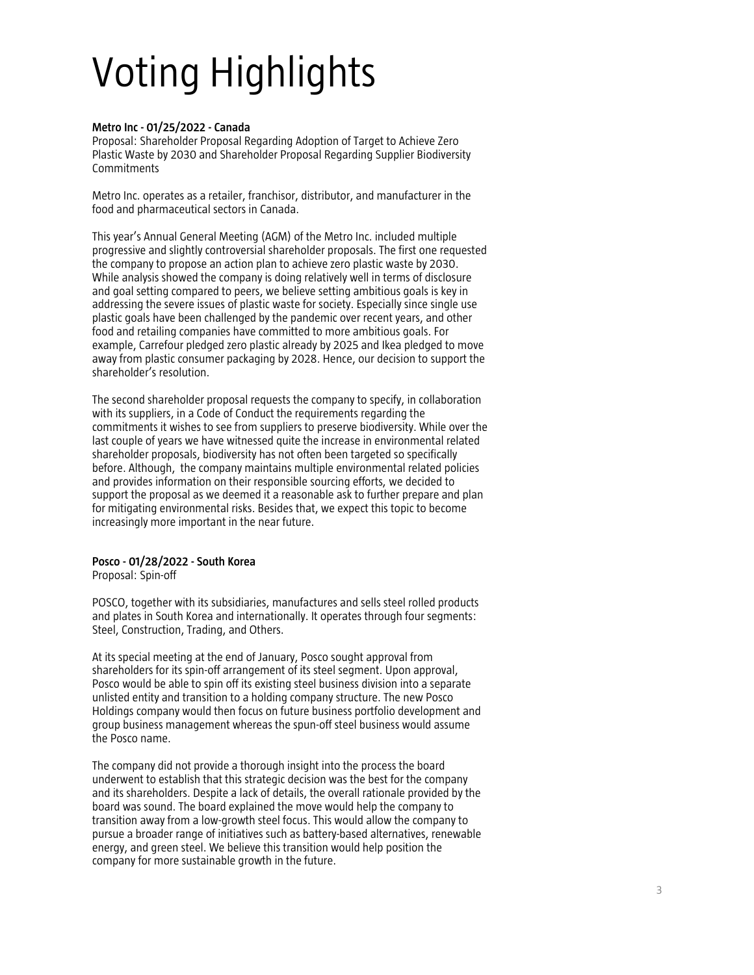# Voting Highlights

### **Metro Inc - 01/25/2022 - Canada**

Proposal: Shareholder Proposal Regarding Adoption of Target to Achieve Zero Plastic Waste by 2030 and Shareholder Proposal Regarding Supplier Biodiversity Commitments

Metro Inc. operates as a retailer, franchisor, distributor, and manufacturer in the food and pharmaceutical sectors in Canada.

This year's Annual General Meeting (AGM) of the Metro Inc. included multiple progressive and slightly controversial shareholder proposals. The first one requested the company to propose an action plan to achieve zero plastic waste by 2030. While analysis showed the company is doing relatively well in terms of disclosure and goal setting compared to peers, we believe setting ambitious goals is key in addressing the severe issues of plastic waste for society. Especially since single use plastic goals have been challenged by the pandemic over recent years, and other food and retailing companies have committed to more ambitious goals. For example, Carrefour pledged zero plastic already by 2025 and Ikea pledged to move away from plastic consumer packaging by 2028. Hence, our decision to support the shareholder's resolution.

The second shareholder proposal requests the company to specify, in collaboration with its suppliers, in a Code of Conduct the requirements regarding the commitments it wishes to see from suppliers to preserve biodiversity. While over the last couple of years we have witnessed quite the increase in environmental related shareholder proposals, biodiversity has not often been targeted so specifically before. Although, the company maintains multiple environmental related policies and provides information on their responsible sourcing efforts, we decided to support the proposal as we deemed it a reasonable ask to further prepare and plan for mitigating environmental risks. Besides that, we expect this topic to become increasingly more important in the near future.

### **Posco - 01/28/2022 - South Korea**

Proposal: Spin-off

POSCO, together with its subsidiaries, manufactures and sells steel rolled products and plates in South Korea and internationally. It operates through four segments: Steel, Construction, Trading, and Others.

At its special meeting at the end of January, Posco sought approval from shareholders for its spin-off arrangement of its steel segment. Upon approval, Posco would be able to spin off its existing steel business division into a separate unlisted entity and transition to a holding company structure. The new Posco Holdings company would then focus on future business portfolio development and group business management whereas the spun-off steel business would assume the Posco name.

The company did not provide a thorough insight into the process the board underwent to establish that this strategic decision was the best for the company and its shareholders. Despite a lack of details, the overall rationale provided by the board was sound. The board explained the move would help the company to transition away from a low-growth steel focus. This would allow the company to pursue a broader range of initiatives such as battery-based alternatives, renewable energy, and green steel. We believe this transition would help position the company for more sustainable growth in the future.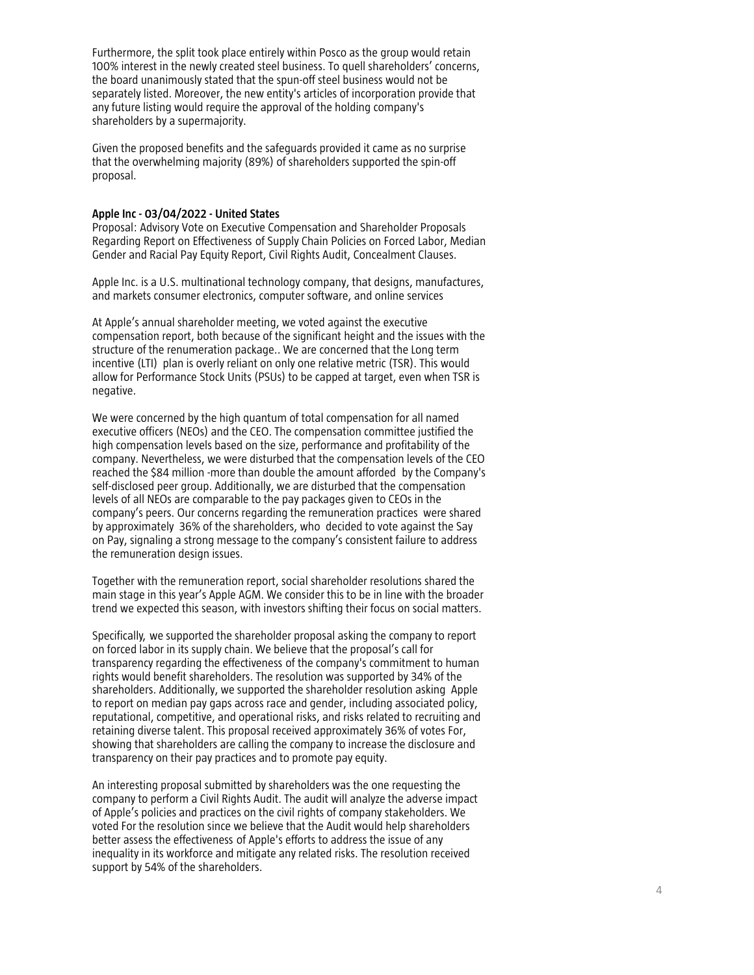Furthermore, the split took place entirely within Posco as the group would retain 100% interest in the newly created steel business. To quell shareholders' concerns, the board unanimously stated that the spun -off steel business would not be separately listed. Moreover, the new entity's articles of incorporation provide that any future listing would require the approval of the holding company's shareholders by a supermajority.

Given the proposed benefits and the safeguards provided it came as no surprise that the overwhelming majority (89%) of shareholders supported the spin -off proposal.

#### **Apple Inc - 03/04/2022 - United States**

Proposal: Advisory Vote on Executive Compensation and Shareholder Proposals Regarding Report on Effectiveness of Supply Chain Policies on Forced Labor, Median Gender and Racial Pay Equity Report, Civil Rights Audit, Concealment Clauses.

Apple Inc. is a U.S. multinational technology company, that designs, manufactures, and markets consumer electronics, computer software, and online services

At Apple's annual shareholder meeting, we voted against the executive compensation report, both because of the significant height and the issues with the structure of the renumeration package.. We are concerned that the Long term incentive (LTI) plan is overly reliant on only one relative metric (TSR). This would allow for Performance Stock Units (PSUs) to be capped at target, even when TSR is negative.

We were concerned by the high quantum of total compensation for all named executive officers (NEOs) and the CEO. The compensation committee justified the high compensation levels based on the size, performance and profitability of the company. Nevertheless, we were disturbed that the compensation levels of the CEO reached the \$84 million -more than double the amount afforded by the Company's self -disclosed peer group. Additionally, we are disturbed that the compensation levels of all NEOs are comparable to the pay packages given to CEOs in the company's peers. Our concerns regarding the remuneration practices were shared by approximately 36% of the shareholders, who decided to vote against the Say on Pay, signaling a strong message to the company's consistent failure to address the remuneration design issues.

Together with the remuneration report, social shareholder resolutions shared the main stage in this year's Apple AGM. We consider this to be in line with the broader trend we expected this season, with investors shifting their focus on social matters.

Specifically, we supported the shareholder proposal asking the company to report on forced labor in its supply chain. We believe that the proposal's call for transparency regarding the effectiveness of the company's commitment to human rights would benefit shareholders. The resolution was supported by 34% of the shareholders. Additionally, we supported the shareholder resolution asking Apple to report on median pay gaps across race and gender, including associated policy, reputational, competitive, and operational risks, and risks related to recruiting and retaining diverse talent. This proposal received approximately 36% of votes For, showing that shareholders are calling the company to increase the disclosure and transparency on their pay practices and to promote pay equity.

An interesting proposal submitted by shareholders was the one requesting the company to perform a Civil Rights Audit. The audit will analyze the adverse impact of Apple's policies and practices on the civil rights of company stakeholders. We voted For the resolution since we believe that the Audit would help shareholders better assess the effectiveness of Apple's efforts to address the issue of any inequality in its workforce and mitigate any related risks. The resolution received support by 54% of the shareholders.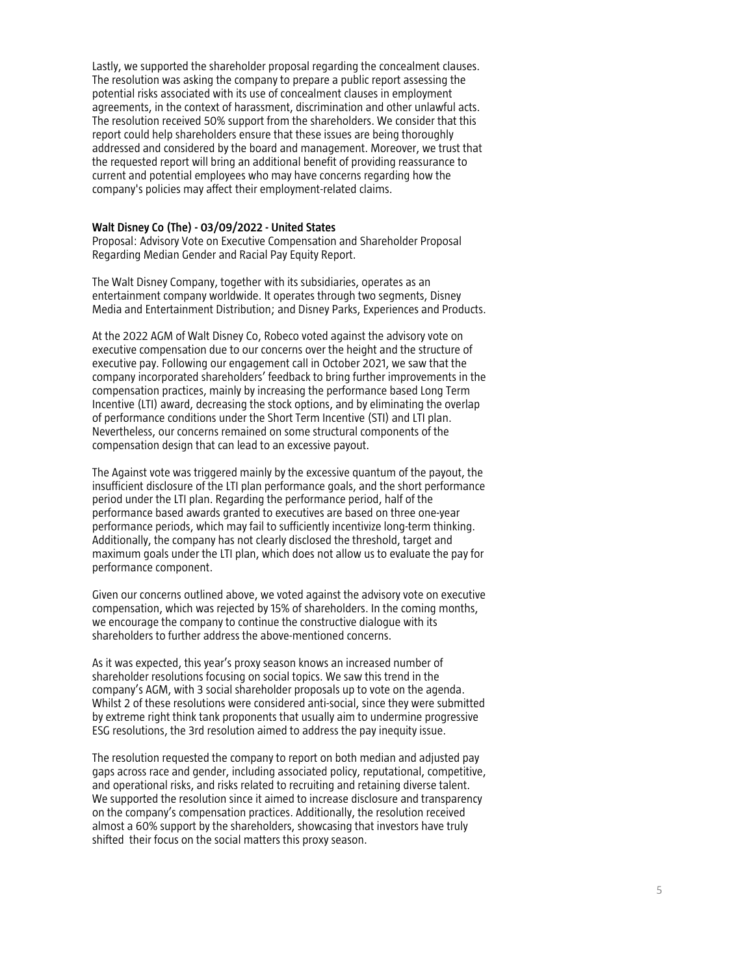Lastly, we supported the shareholder proposal regarding the concealment clauses. The resolution was asking the company to prepare a public report assessing the potential risks associated with its use of concealment clauses in employment agreements, in the context of harassment, discrimination and other unlawful acts. The resolution received 50% support from the shareholders. We consider that this report could help shareholders ensure that these issues are being thoroughly addressed and considered by the board and management. Moreover, we trust that the requested report will bring an additional benefit of providing reassurance to current and potential employees who may have concerns regarding how the company's policies may affect their employment -related claims.

#### **Walt Disney Co (The) - 03/09/2022 - United States**

Proposal: Advisory Vote on Executive Compensation and Shareholder Proposal Regarding Median Gender and Racial Pay Equity Report.

The Walt Disney Company, together with its subsidiaries, operates as an entertainment company worldwide. It operates through two segments, Disney Media and Entertainment Distribution; and Disney Parks, Experiences and Products.

At the 2022 AGM of Walt Disney Co, Robeco voted against the advisory vote on executive compensation due to our concerns over the height and the structure of executive pay. Following our engagement call in October 2021, we saw that the company incorporated shareholders' feedback to bring further improvements in the compensation practices, mainly by increasing the performance based Long Term Incentive (LTI) award, decreasing the stock options, and by eliminating the overlap of performance conditions under the Short Term Incentive (STI) and LTI plan. Nevertheless, our concerns remained on some structural components of the compensation design that can lead to an excessive payout.

The Against vote was triggered mainly by the excessive quantum of the payout, the insufficient disclosure of the LTI plan performance goals, and the short performance period under the LTI plan. Regarding the performance period, half of the performance based awards granted to executives are based on three one -year performance periods, which may fail to sufficiently incentivize long -term thinking. Additionally, the company has not clearly disclosed the threshold, target and maximum goals under the LTI plan, which does not allow us to evaluate the pay for performance component.

Given our concerns outlined above, we voted against the advisory vote on executive compensation, which was rejected by 15% of shareholders. In the coming months, we encourage the company to continue the constructive dialogue with its shareholders to further address the above -mentioned concerns.

As it was expected, this year's proxy season knows an increased number of shareholder resolutions focusing on social topics. We saw this trend in the company's AGM, with 3 social shareholder proposals up to vote on the agenda. Whilst 2 of these resolutions were considered anti -social, since they were submitted by extreme right think tank proponents that usually aim to undermine progressive ESG resolutions, the 3rd resolution aimed to address the pay inequity issue.

The resolution requested the company to report on both median and adjusted pay gaps across race and gender, including associated policy, reputational, competitive, and operational risks, and risks related to recruiting and retaining diverse talent. We supported the resolution since it aimed to increase disclosure and transparency on the company's compensation practices. Additionally, the resolution received almost a 60% support by the shareholders, showcasing that investors have truly shifted their focus on the social matters this proxy season.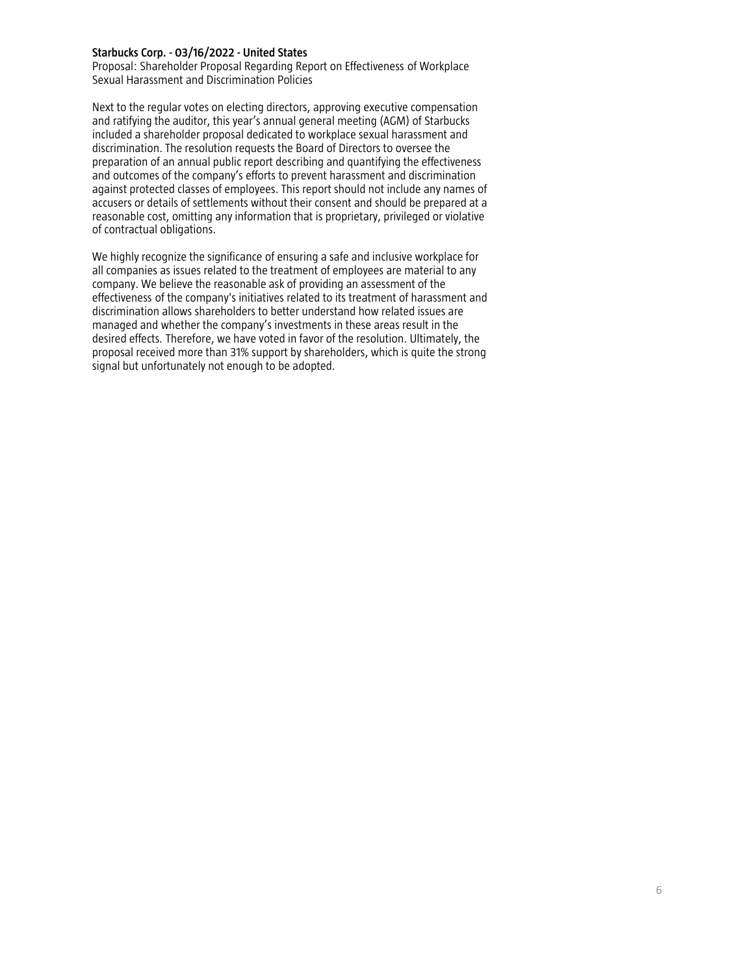### **Starbucks Corp. - 03/16/2022 - United States**

Proposal: Shareholder Proposal Regarding Report on Effectiveness of Workplace Sexual Harassment and Discrimination Policies

Next to the regular votes on electing directors, approving executive compensation and ratifying the auditor, this year's annual general meeting (AGM) of Starbucks included a shareholder proposal dedicated to workplace sexual harassment and discrimination. The resolution requests the Board of Directors to oversee the preparation of an annual public report describing and quantifying the effectiveness and outcomes of the company's efforts to prevent harassment and discrimination against protected classes of employees. This report should not include any names of accusers or details of settlements without their consent and should be prepared at a reasonable cost, omitting any information that is proprietary, privileged or violative of contractual obligations.

We highly recognize the significance of ensuring a safe and inclusive workplace for all companies as issues related to the treatment of employees are material to any company. We believe the reasonable ask of providing an assessment of the effectiveness of the company's initiatives related to its treatment of harassment and discrimination allows shareholders to better understand how related issues are managed and whether the company's investments in these areas result in the desired effects. Therefore, we have voted in favor of the resolution. Ultimately, the proposal received more than 31% support by shareholders, which is quite the strong signal but unfortunately not enough to be adopted.